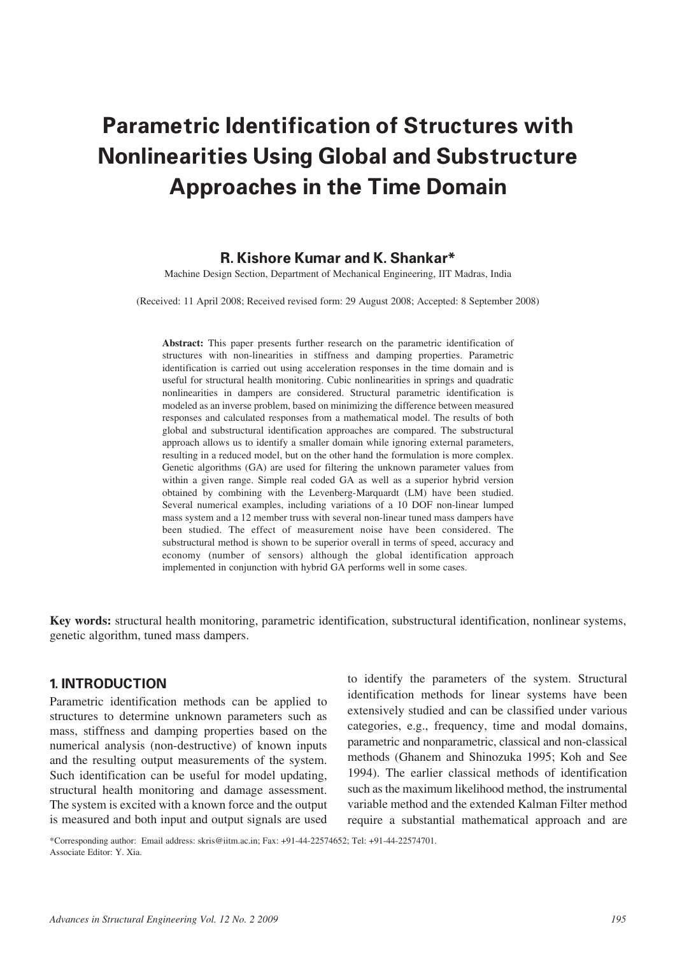# **Parametric Identification of Structures with Nonlinearities Using Global and Substructure Approaches in the Time Domain**

## **R. Kishore Kumar and K. Shankar\***

Machine Design Section, Department of Mechanical Engineering, IIT Madras, India

(Received: 11 April 2008; Received revised form: 29 August 2008; Accepted: 8 September 2008)

**Abstract:** This paper presents further research on the parametric identification of structures with non-linearities in stiffness and damping properties. Parametric identification is carried out using acceleration responses in the time domain and is useful for structural health monitoring. Cubic nonlinearities in springs and quadratic nonlinearities in dampers are considered. Structural parametric identification is modeled as an inverse problem, based on minimizing the difference between measured responses and calculated responses from a mathematical model. The results of both global and substructural identification approaches are compared. The substructural approach allows us to identify a smaller domain while ignoring external parameters, resulting in a reduced model, but on the other hand the formulation is more complex. Genetic algorithms (GA) are used for filtering the unknown parameter values from within a given range. Simple real coded GA as well as a superior hybrid version obtained by combining with the Levenberg-Marquardt (LM) have been studied. Several numerical examples, including variations of a 10 DOF non-linear lumped mass system and a 12 member truss with several non-linear tuned mass dampers have been studied. The effect of measurement noise have been considered. The substructural method is shown to be superior overall in terms of speed, accuracy and economy (number of sensors) although the global identification approach implemented in conjunction with hybrid GA performs well in some cases.

**Key words:** structural health monitoring, parametric identification, substructural identification, nonlinear systems, genetic algorithm, tuned mass dampers.

## **1. INTRODUCTION**

Parametric identification methods can be applied to structures to determine unknown parameters such as mass, stiffness and damping properties based on the numerical analysis (non-destructive) of known inputs and the resulting output measurements of the system. Such identification can be useful for model updating, structural health monitoring and damage assessment. The system is excited with a known force and the output is measured and both input and output signals are used to identify the parameters of the system. Structural identification methods for linear systems have been extensively studied and can be classified under various categories, e.g., frequency, time and modal domains, parametric and nonparametric, classical and non-classical methods (Ghanem and Shinozuka 1995; Koh and See 1994). The earlier classical methods of identification such as the maximum likelihood method, the instrumental variable method and the extended Kalman Filter method require a substantial mathematical approach and are

\*Corresponding author: Email address: skris@iitm.ac.in; Fax: +91-44-22574652; Tel: +91-44-22574701. Associate Editor: Y. Xia.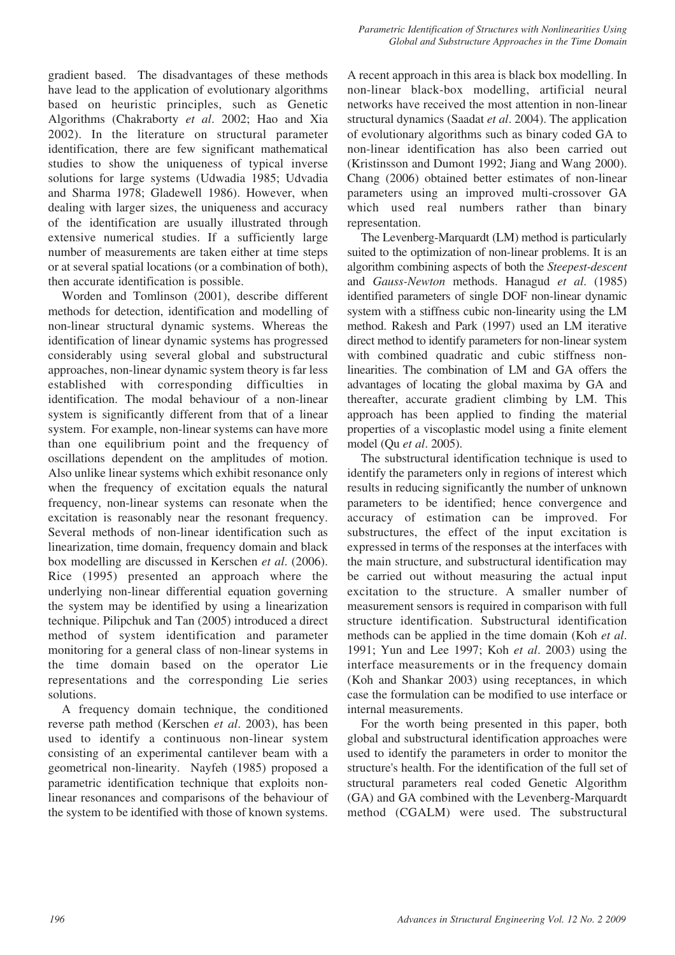gradient based. The disadvantages of these methods have lead to the application of evolutionary algorithms based on heuristic principles, such as Genetic Algorithms (Chakraborty *et al*. 2002; Hao and Xia 2002). In the literature on structural parameter identification, there are few significant mathematical studies to show the uniqueness of typical inverse solutions for large systems (Udwadia 1985; Udvadia and Sharma 1978; Gladewell 1986). However, when dealing with larger sizes, the uniqueness and accuracy of the identification are usually illustrated through extensive numerical studies. If a sufficiently large number of measurements are taken either at time steps or at several spatial locations (or a combination of both), then accurate identification is possible.

Worden and Tomlinson (2001), describe different methods for detection, identification and modelling of non-linear structural dynamic systems. Whereas the identification of linear dynamic systems has progressed considerably using several global and substructural approaches, non-linear dynamic system theory is far less established with corresponding difficulties in identification. The modal behaviour of a non-linear system is significantly different from that of a linear system. For example, non-linear systems can have more than one equilibrium point and the frequency of oscillations dependent on the amplitudes of motion. Also unlike linear systems which exhibit resonance only when the frequency of excitation equals the natural frequency, non-linear systems can resonate when the excitation is reasonably near the resonant frequency. Several methods of non-linear identification such as linearization, time domain, frequency domain and black box modelling are discussed in Kerschen *et al*. (2006). Rice (1995) presented an approach where the underlying non-linear differential equation governing the system may be identified by using a linearization technique. Pilipchuk and Tan (2005) introduced a direct method of system identification and parameter monitoring for a general class of non-linear systems in the time domain based on the operator Lie representations and the corresponding Lie series solutions.

A frequency domain technique, the conditioned reverse path method (Kerschen *et al*. 2003), has been used to identify a continuous non-linear system consisting of an experimental cantilever beam with a geometrical non-linearity. Nayfeh (1985) proposed a parametric identification technique that exploits nonlinear resonances and comparisons of the behaviour of the system to be identified with those of known systems. A recent approach in this area is black box modelling. In non-linear black-box modelling, artificial neural networks have received the most attention in non-linear structural dynamics (Saadat *et al*. 2004). The application of evolutionary algorithms such as binary coded GA to non-linear identification has also been carried out (Kristinsson and Dumont 1992; Jiang and Wang 2000). Chang (2006) obtained better estimates of non-linear parameters using an improved multi-crossover GA which used real numbers rather than binary representation.

The Levenberg-Marquardt (LM) method is particularly suited to the optimization of non-linear problems. It is an algorithm combining aspects of both the *Steepest-descent* and *Gauss-Newton* methods. Hanagud *et al*. (1985) identified parameters of single DOF non-linear dynamic system with a stiffness cubic non-linearity using the LM method. Rakesh and Park (1997) used an LM iterative direct method to identify parameters for non-linear system with combined quadratic and cubic stiffness nonlinearities. The combination of LM and GA offers the advantages of locating the global maxima by GA and thereafter, accurate gradient climbing by LM. This approach has been applied to finding the material properties of a viscoplastic model using a finite element model (Qu *et al*. 2005).

The substructural identification technique is used to identify the parameters only in regions of interest which results in reducing significantly the number of unknown parameters to be identified; hence convergence and accuracy of estimation can be improved. For substructures, the effect of the input excitation is expressed in terms of the responses at the interfaces with the main structure, and substructural identification may be carried out without measuring the actual input excitation to the structure. A smaller number of measurement sensors is required in comparison with full structure identification. Substructural identification methods can be applied in the time domain (Koh *et al*. 1991; Yun and Lee 1997; Koh *et al*. 2003) using the interface measurements or in the frequency domain (Koh and Shankar 2003) using receptances, in which case the formulation can be modified to use interface or internal measurements.

For the worth being presented in this paper, both global and substructural identification approaches were used to identify the parameters in order to monitor the structure's health. For the identification of the full set of structural parameters real coded Genetic Algorithm (GA) and GA combined with the Levenberg-Marquardt method (CGALM) were used. The substructural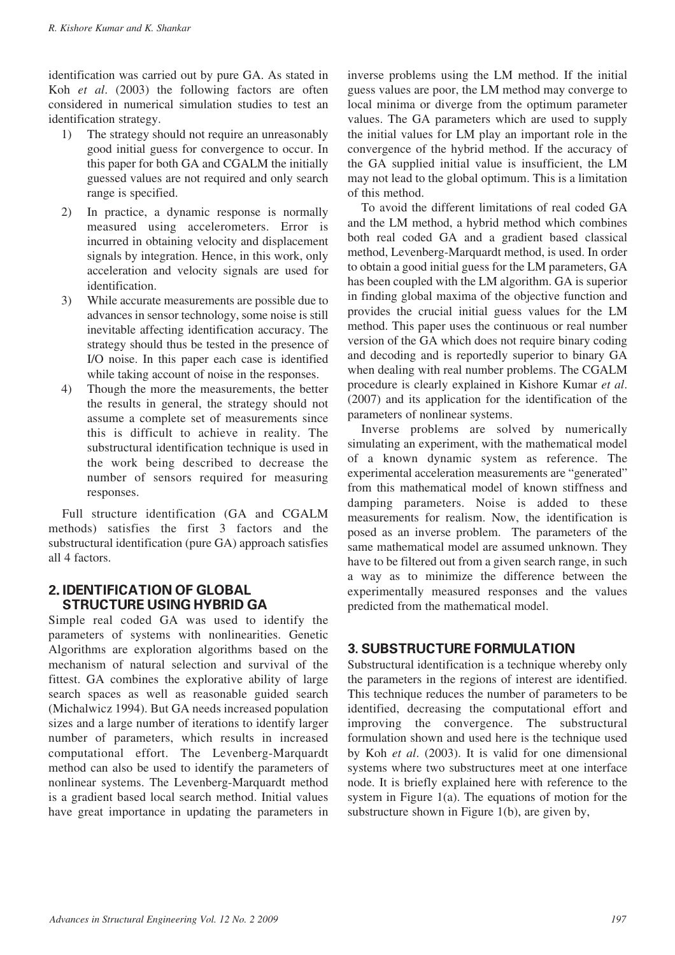identification was carried out by pure GA. As stated in Koh *et al*. (2003) the following factors are often considered in numerical simulation studies to test an identification strategy.

- 1) The strategy should not require an unreasonably good initial guess for convergence to occur. In this paper for both GA and CGALM the initially guessed values are not required and only search range is specified.
- 2) In practice, a dynamic response is normally measured using accelerometers. Error is incurred in obtaining velocity and displacement signals by integration. Hence, in this work, only acceleration and velocity signals are used for identification.
- 3) While accurate measurements are possible due to advances in sensor technology, some noise is still inevitable affecting identification accuracy. The strategy should thus be tested in the presence of I/O noise. In this paper each case is identified while taking account of noise in the responses.
- 4) Though the more the measurements, the better the results in general, the strategy should not assume a complete set of measurements since this is difficult to achieve in reality. The substructural identification technique is used in the work being described to decrease the number of sensors required for measuring responses.

Full structure identification (GA and CGALM methods) satisfies the first 3 factors and the substructural identification (pure GA) approach satisfies all 4 factors.

# **2. IDENTIFICATION OF GLOBAL STRUCTURE USING HYBRID GA**

Simple real coded GA was used to identify the parameters of systems with nonlinearities. Genetic Algorithms are exploration algorithms based on the mechanism of natural selection and survival of the fittest. GA combines the explorative ability of large search spaces as well as reasonable guided search (Michalwicz 1994). But GA needs increased population sizes and a large number of iterations to identify larger number of parameters, which results in increased computational effort. The Levenberg-Marquardt method can also be used to identify the parameters of nonlinear systems. The Levenberg-Marquardt method is a gradient based local search method. Initial values have great importance in updating the parameters in

inverse problems using the LM method. If the initial guess values are poor, the LM method may converge to local minima or diverge from the optimum parameter values. The GA parameters which are used to supply the initial values for LM play an important role in the convergence of the hybrid method. If the accuracy of the GA supplied initial value is insufficient, the LM may not lead to the global optimum. This is a limitation of this method.

To avoid the different limitations of real coded GA and the LM method, a hybrid method which combines both real coded GA and a gradient based classical method, Levenberg-Marquardt method, is used. In order to obtain a good initial guess for the LM parameters, GA has been coupled with the LM algorithm. GA is superior in finding global maxima of the objective function and provides the crucial initial guess values for the LM method. This paper uses the continuous or real number version of the GA which does not require binary coding and decoding and is reportedly superior to binary GA when dealing with real number problems. The CGALM procedure is clearly explained in Kishore Kumar *et al*. (2007) and its application for the identification of the parameters of nonlinear systems.

Inverse problems are solved by numerically simulating an experiment, with the mathematical model of a known dynamic system as reference. The experimental acceleration measurements are "generated" from this mathematical model of known stiffness and damping parameters. Noise is added to these measurements for realism. Now, the identification is posed as an inverse problem. The parameters of the same mathematical model are assumed unknown. They have to be filtered out from a given search range, in such a way as to minimize the difference between the experimentally measured responses and the values predicted from the mathematical model.

# **3. SUBSTRUCTURE FORMULATION**

Substructural identification is a technique whereby only the parameters in the regions of interest are identified. This technique reduces the number of parameters to be identified, decreasing the computational effort and improving the convergence. The substructural formulation shown and used here is the technique used by Koh *et al*. (2003). It is valid for one dimensional systems where two substructures meet at one interface node. It is briefly explained here with reference to the system in Figure 1(a). The equations of motion for the substructure shown in Figure 1(b), are given by,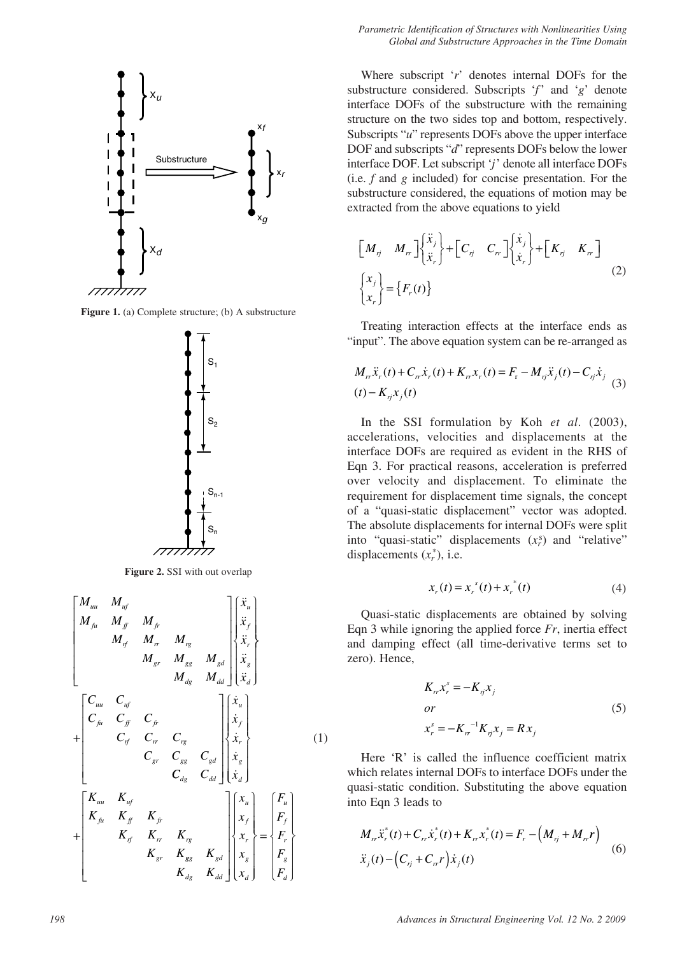

**Figure 1.** (a) Complete structure; (b) A substructure



**Figure 2.** SSI with out overlap

$$
\begin{bmatrix}\nM_{uu} & M_{uf} & & & & & \\
M_{fu} & M_{ff} & M_{fr} & & & & \\
M_{f1} & M_{rr} & M_{rg} & & M_{gd} & & \\
M_{gr} & M_{gg} & M_{gd} & & & \ddot{x}_{g} \\
M_{gg} & M_{dg} & M_{dd} & & & \ddot{x}_{g} \\
C_{fu} & C_{fu} & C_{fr} & C_{fr} & & \\
C_{g1} & C_{gr} & C_{rg} & C_{gd} & & \\
C_{gg} & C_{gg} & C_{gd} & & & \ddot{x}_{g} \\
C_{fu} & K_{uf} & K_{ff} & K_{fr} & & \\
K_{fu} & K_{ff} & K_{fr} & K_{rg} & & \\
K_{gf} & K_{gr} & K_{gg} & K_{gd} & & \\
K_{gg} & K_{gg} & K_{gd} & & & \\
K_{gg} & K_{gg} & K_{gd} & & \\
K_{gg} & K_{gg} & K_{gd} & & \\
K_{gg} & K_{dg} & K_{dd} & & \\
K_{gg} & K_{dg} & K_{dd} & & \\
K_{gg} & K_{dg} & K_{dd} & & \\
K_{g1} & K_{g2} & K_{dd} & & \\
K_{g3} & K_{dd} & & & \\
K_{g4} & K_{dd} & & & \\
\end{bmatrix}
$$
\n(1)

Where subscript '*r*' denotes internal DOFs for the substructure considered. Subscripts '*f*' and '*g*' denote interface DOFs of the substructure with the remaining structure on the two sides top and bottom, respectively. Subscripts "*u*" represents DOFs above the upper interface DOF and subscripts "*d*" represents DOFs below the lower interface DOF. Let subscript '*j*' denote all interface DOFs (i.e. *f* and *g* included) for concise presentation. For the substructure considered, the equations of motion may be extracted from the above equations to yield

$$
\begin{bmatrix} M_{ij} & M_{rr} \end{bmatrix} \begin{bmatrix} \ddot{x}_j \\ \ddot{x}_r \end{bmatrix} + \begin{bmatrix} C_{ij} & C_{rr} \end{bmatrix} \begin{bmatrix} \dot{x}_j \\ \dot{x}_r \end{bmatrix} + \begin{bmatrix} K_{ij} & K_{rr} \end{bmatrix}
$$
\n
$$
\begin{bmatrix} x_j \\ x_r \end{bmatrix} = \begin{Bmatrix} F_r(t) \end{Bmatrix}
$$
\n(2)

Treating interaction effects at the interface ends as "input". The above equation system can be re-arranged as

$$
M_{rr}\ddot{x}_r(t) + C_{rr}\dot{x}_r(t) + K_{rr}x_r(t) = F_r - M_{rj}\ddot{x}_j(t) - C_{rj}\dot{x}_j
$$
  
(t) - K\_{rj}x\_j(t) (3)

In the SSI formulation by Koh *et al*. (2003), accelerations, velocities and displacements at the interface DOFs are required as evident in the RHS of Eqn 3. For practical reasons, acceleration is preferred over velocity and displacement. To eliminate the requirement for displacement time signals, the concept of a "quasi-static displacement" vector was adopted. The absolute displacements for internal DOFs were split into "quasi-static" displacements  $(x_r^s)$  and "relative" displacements  $(x_r^*)$ , i.e.

$$
x_r(t) = x_r^s(t) + x_r^*(t)
$$
 (4)

Quasi-static displacements are obtained by solving Eqn 3 while ignoring the applied force *Fr*, inertia effect and damping effect (all time-derivative terms set to zero). Hence,

$$
K_{rr}x_r^s = -K_{rj}x_j
$$
  
or  

$$
x_r^s = -K_{rr}^{-1}K_{rj}x_j = Rx_j
$$
 (5)

Here 'R' is called the influence coefficient matrix which relates internal DOFs to interface DOFs under the quasi-static condition. Substituting the above equation into Eqn 3 leads to

$$
M_{rr}\ddot{x}_r^*(t) + C_{rr}\dot{x}_r^*(t) + K_{rr}x_r^*(t) = F_r - (M_{rj} + M_{rr}r)
$$
  

$$
\ddot{x}_j(t) - (C_{rj} + C_{rr}r)\dot{x}_j(t)
$$
 (6)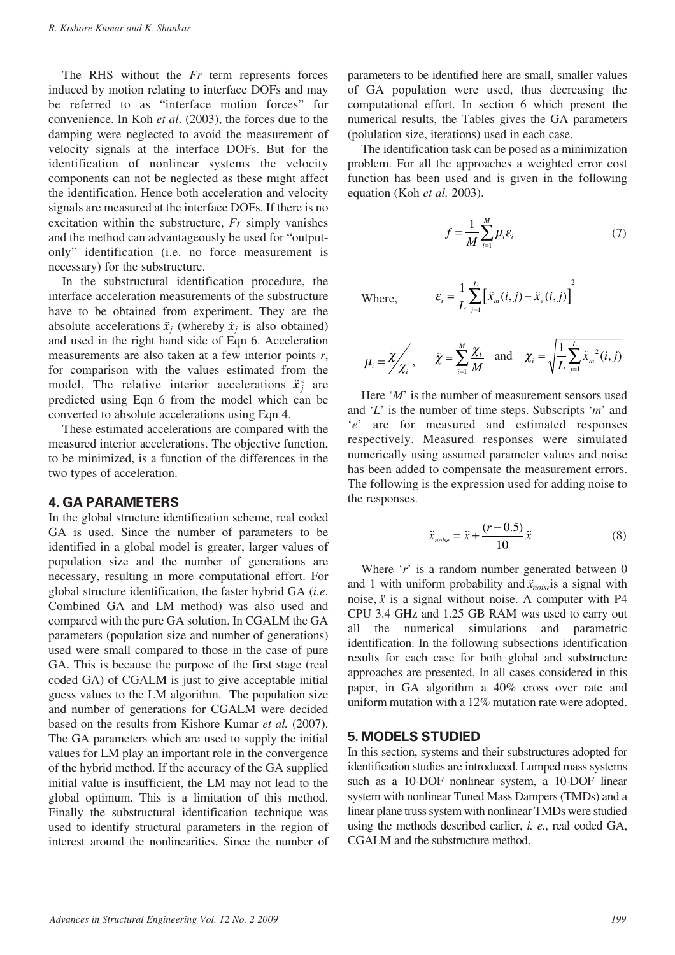The RHS without the *Fr* term represents forces induced by motion relating to interface DOFs and may be referred to as "interface motion forces" for convenience. In Koh *et al*. (2003), the forces due to the damping were neglected to avoid the measurement of velocity signals at the interface DOFs. But for the identification of nonlinear systems the velocity components can not be neglected as these might affect the identification. Hence both acceleration and velocity signals are measured at the interface DOFs. If there is no excitation within the substructure, *Fr* simply vanishes and the method can advantageously be used for "outputonly" identification (i.e. no force measurement is necessary) for the substructure.

In the substructural identification procedure, the interface acceleration measurements of the substructure have to be obtained from experiment. They are the absolute accelerations  $\ddot{x}_j$  (whereby  $\dot{x}_j$  is also obtained) and used in the right hand side of Eqn 6. Acceleration measurements are also taken at a few interior points *r*, for comparison with the values estimated from the model. The relative interior accelerations  $\ddot{x}^*$  are predicted using Eqn 6 from the model which can be converted to absolute accelerations using Eqn 4.

These estimated accelerations are compared with the measured interior accelerations. The objective function, to be minimized, is a function of the differences in the two types of acceleration.

## **4. GA PARAMETERS**

In the global structure identification scheme, real coded GA is used. Since the number of parameters to be identified in a global model is greater, larger values of population size and the number of generations are necessary, resulting in more computational effort. For global structure identification, the faster hybrid GA (*i.e*. Combined GA and LM method) was also used and compared with the pure GA solution. In CGALM the GA parameters (population size and number of generations) used were small compared to those in the case of pure GA. This is because the purpose of the first stage (real coded GA) of CGALM is just to give acceptable initial guess values to the LM algorithm. The population size and number of generations for CGALM were decided based on the results from Kishore Kumar *et al.* (2007). The GA parameters which are used to supply the initial values for LM play an important role in the convergence of the hybrid method. If the accuracy of the GA supplied initial value is insufficient, the LM may not lead to the global optimum. This is a limitation of this method. Finally the substructural identification technique was used to identify structural parameters in the region of interest around the nonlinearities. Since the number of

parameters to be identified here are small, smaller values of GA population were used, thus decreasing the computational effort. In section 6 which present the numerical results, the Tables gives the GA parameters (polulation size, iterations) used in each case.

The identification task can be posed as a minimization problem. For all the approaches a weighted error cost function has been used and is given in the following equation (Koh *et al.* 2003).

$$
f = \frac{1}{M} \sum_{i=1}^{M} \mu_i \varepsilon_i
$$
 (7)

 $\ddot{x}_m(i, j) - \ddot{x}_e(i, j)$ 

Where,

$$
\mu_i = \overline{\chi}'_{\chi_i}, \quad \overline{\chi} = \sum_{i=1}^M \frac{\chi_i}{M} \text{ and } \chi_i = \sqrt{\frac{1}{L} \sum_{j=1}^L \ddot{x}_m^2(i, j)}
$$

 $\varepsilon_i = \frac{1}{L} \sum_{j=1}^L [x_m(i,j) - x_e]$ 

 $=\frac{1}{L}\sum_{j=1}^{L} \left[ \ddot{x}_{m}(i,j) - \ddot{x}_{e}(i,j) \right]^{2}$ 

*L*

1

*i*

Here '*M*' is the number of measurement sensors used and '*L*' is the number of time steps. Subscripts '*m*' and '*e*' are for measured and estimated responses respectively. Measured responses were simulated numerically using assumed parameter values and noise has been added to compensate the measurement errors. The following is the expression used for adding noise to the responses.

$$
\ddot{x}_{noise} = \ddot{x} + \frac{(r - 0.5)}{10} \ddot{x} \tag{8}
$$

Where '*r*' is a random number generated between 0 and 1 with uniform probability and  $\ddot{x}_{noise}$  is a signal with noise,  $\ddot{x}$  is a signal without noise. A computer with P4 CPU 3.4 GHz and 1.25 GB RAM was used to carry out all the numerical simulations and parametric identification. In the following subsections identification results for each case for both global and substructure approaches are presented. In all cases considered in this paper, in GA algorithm a 40% cross over rate and uniform mutation with a 12% mutation rate were adopted.

## **5. MODELS STUDIED**

In this section, systems and their substructures adopted for identification studies are introduced. Lumped mass systems such as a 10-DOF nonlinear system, a 10-DOF linear system with nonlinear Tuned Mass Dampers (TMDs) and a linear plane truss system with nonlinear TMDs were studied using the methods described earlier, *i. e.*, real coded GA, CGALM and the substructure method.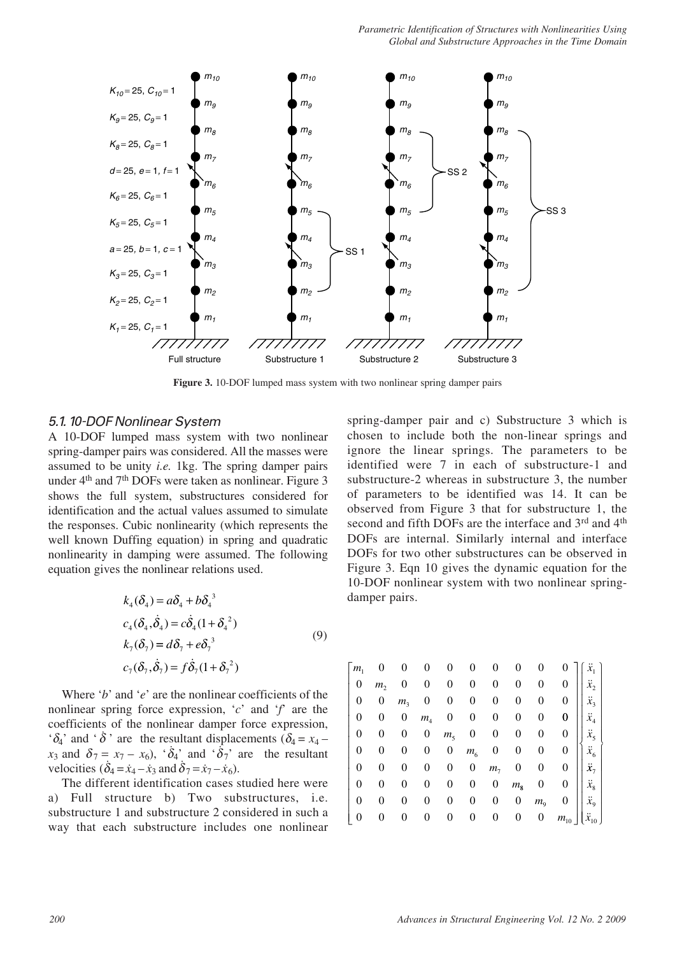

**Figure 3.** 10-DOF lumped mass system with two nonlinear spring damper pairs

## 5.1. 10-DOF Nonlinear System

A 10-DOF lumped mass system with two nonlinear spring-damper pairs was considered. All the masses were assumed to be unity *i.e.* 1kg. The spring damper pairs under  $4<sup>th</sup>$  and  $7<sup>th</sup>$  DOFs were taken as nonlinear. Figure 3 shows the full system, substructures considered for identification and the actual values assumed to simulate the responses. Cubic nonlinearity (which represents the well known Duffing equation) in spring and quadratic nonlinearity in damping were assumed. The following equation gives the nonlinear relations used.

$$
k_4(\delta_4) = a\delta_4 + b\delta_4^3
$$
  
\n
$$
c_4(\delta_4, \dot{\delta}_4) = c\dot{\delta}_4(1 + \delta_4^2)
$$
  
\n
$$
k_7(\delta_7) = d\delta_7 + e\delta_7^3
$$
  
\n
$$
c_7(\delta_7, \dot{\delta}_7) = f\dot{\delta}_7(1 + \delta_7^2)
$$
\n(9)

Where '*b*' and '*e*' are the nonlinear coefficients of the nonlinear spring force expression,  $c^{\prime}$  and  $f^{\prime}$  are the coefficients of the nonlinear damper force expression, ' $\delta_4$ ' and ' $\dot{\delta}$ ' are the resultant displacements  $\dot{\delta}_4 = x_4$  $x_3$  and  $\delta_7 = x_7 - x_6$ , ' $\delta_4$ ' and ' $\delta_7$ ' are the resultant velocities  $(\delta_4 = \dot{x}_4 - \dot{x}_3 \text{ and } \dot{\delta}_7 = \dot{x}_7 - \dot{x}_6).$ 

The different identification cases studied here were a) Full structure b) Two substructures, i.e. substructure 1 and substructure 2 considered in such a way that each substructure includes one nonlinear

spring-damper pair and c) Substructure 3 which is chosen to include both the non-linear springs and ignore the linear springs. The parameters to be identified were 7 in each of substructure-1 and substructure-2 whereas in substructure 3, the number of parameters to be identified was 14. It can be observed from Figure 3 that for substructure 1, the second and fifth DOFs are the interface and 3rd and 4<sup>th</sup> DOFs are internal. Similarly internal and interface DOFs for two other substructures can be observed in Figure 3. Eqn 10 gives the dynamic equation for the 10-DOF nonlinear system with two nonlinear springdamper pairs.

| $\lceil m_{\rm i} \rceil$ | 0              | 0              | 0              | 0                | 0            | 0                | 0                | 0                |                                |                 |
|---------------------------|----------------|----------------|----------------|------------------|--------------|------------------|------------------|------------------|--------------------------------|-----------------|
| 0                         | m <sub>2</sub> | 0              | 0              | 0                | 0            | $\boldsymbol{0}$ | 0                | 0                | 0                              | $\ddot{x}_2$    |
| 0                         | 0              | m <sub>3</sub> | 0              | 0                | 0            | $\overline{0}$   | $\boldsymbol{0}$ | 0                | $\mathbf{0}$                   | $\ddot{x}_3$    |
| 0                         | 0              | 0              | m <sub>4</sub> | $\boldsymbol{0}$ | 0            | $\mathbf{0}$     | $\boldsymbol{0}$ | 0                | $\mathbf{0}$                   | $\ddot{x}_4$    |
| 0                         | 0              | 0              | 0              | m <sub>5</sub>   | $\mathbf{0}$ | $\mathbf{0}$     | $\mathbf{0}$     | $\boldsymbol{0}$ | $\overline{0}$                 | $\ddot{x}_5$    |
| 0                         | 0              | 0              | 0              | 0                |              | $m_6$ 0          | $\mathbf{0}$     | $\mathbf{0}$     | $\overline{0}$                 | $\ddot{x}_6$    |
| 0                         | 0              | 0              | 0              | 0                | 0            | $m_\gamma$       | $\mathbf{0}$     | $\boldsymbol{0}$ | $\overline{0}$                 | $\ddot{x}_7$    |
| 0                         | 0              | 0              | 0              | 0                | 0            | $\mathbf{0}$     | $m_{8}$          | $\mathbf{0}$     | $\overline{0}$                 | $\ddot{x}_8$    |
|                           | 0              | 0              |                | 0                | 0            | $\boldsymbol{0}$ | $\boldsymbol{0}$ | $m_{9}$          | $\overline{0}$                 | $\ddot{x}_9$    |
|                           | 0              |                |                | 0                | 0            | $\boldsymbol{0}$ | $\boldsymbol{0}$ | $\overline{0}$   | $\ensuremath{m_{\mathrm{10}}}$ | $\ddot{x}_{10}$ |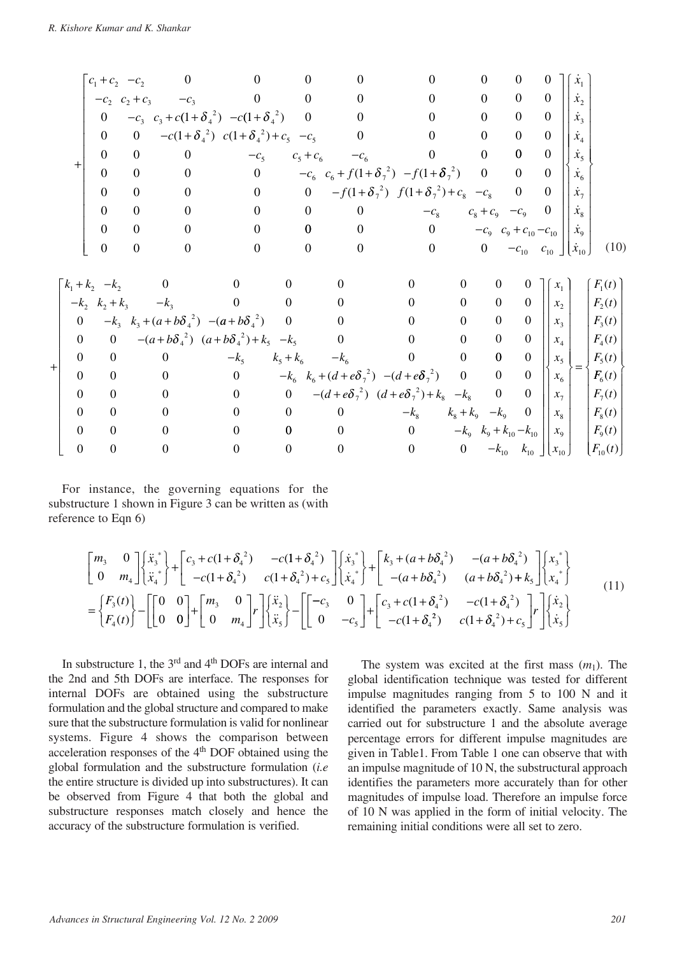|                |                | $c_1 + c_2 - c_2$ |                  | $\overline{\phantom{0}}$    | $\boldsymbol{0}$                                       | $\boldsymbol{0}$ | $\boldsymbol{0}$                 | $\boldsymbol{0}$                                     |                                                       | $\overline{0}$<br>$\overline{0}$ |                | $\theta$         | $\dot{x}_1$ |                             |  |
|----------------|----------------|-------------------|------------------|-----------------------------|--------------------------------------------------------|------------------|----------------------------------|------------------------------------------------------|-------------------------------------------------------|----------------------------------|----------------|------------------|-------------|-----------------------------|--|
|                |                |                   |                  |                             | $-c_2$ $c_2 + c_3$ $-c_3$ 0 0                          |                  | $\overline{0}$                   | $\overline{0}$                                       |                                                       | $\overline{0}$<br>$\overline{0}$ |                | $\overline{0}$   | $\dot{x}_2$ |                             |  |
|                |                |                   |                  |                             | 0 $-c_3$ $c_3 + c(1+\delta_4^2) -c(1+\delta_4^2)$ 0    |                  | $\overline{0}$                   | $\overline{0}$                                       |                                                       | $\overline{0}$<br>$\overline{0}$ |                | $\boldsymbol{0}$ | $\dot{x}_3$ |                             |  |
|                |                | $\overline{0}$    | $\mathbf{0}$     |                             | $-c(1+\delta_4^2)$ $c(1+\delta_4^2)+c_5$ $-c_5$ 0      |                  |                                  | $\overline{0}$                                       |                                                       | $\overline{0}$<br>$\overline{0}$ |                | $\boldsymbol{0}$ | $\dot{x}_4$ |                             |  |
|                |                | $\overline{0}$    | $\overline{0}$   |                             | $\overline{0}$                                         |                  |                                  | $-c_5$ $c_5+c_6$ $-c_6$ 0                            |                                                       | $\bf{0}$<br>$\overline{0}$       |                | $\boldsymbol{0}$ | $\dot{x}_5$ |                             |  |
|                |                | $\boldsymbol{0}$  | $\overline{0}$   |                             | $\overline{0}$                                         |                  |                                  | 0 $-c_6 c_6 + f(1+\delta_7^2) - f(1+\delta_7^2)$ 0   |                                                       | $\overline{0}$                   |                | $\overline{0}$   | $\dot{x}_6$ |                             |  |
|                |                | $\overline{0}$    | $\mathbf{0}$     | $\overline{0}$              |                                                        | $\overline{0}$   | $\overline{0}$                   | $-f(1+\delta_7^2)$ $f(1+\delta_7^2)+c_8$ $-c_8$ 0    |                                                       |                                  |                | $\overline{0}$   | $\dot{x}_7$ |                             |  |
|                |                | $\boldsymbol{0}$  | $\boldsymbol{0}$ | $\overline{0}$              | $\overline{0}$                                         |                  | $\overline{0}$                   | $\overline{0}$<br>$-c_8$                             |                                                       | $c_8 + c_9 - c_9 = 0$            |                |                  | $\dot{x}_8$ |                             |  |
|                |                | $\boldsymbol{0}$  | $\overline{0}$   | $\overline{0}$              | $\overline{0}$                                         |                  | $\mathbf{0}$                     | $\overline{0}$                                       | 0 $-c_9$ $c_9 + c_{10} - c_{10}$                      |                                  |                |                  | $\dot{x}_9$ |                             |  |
|                |                | $\boldsymbol{0}$  | $\overline{0}$   | $\mathbf{0}$                | $\overline{0}$                                         |                  | $\overline{0}$<br>$\overline{0}$ |                                                      | 0 0 $-c_{10}$ $c_{10}$ $\lfloor \dot{x}_{10} \rfloor$ |                                  |                |                  |             | (10)                        |  |
|                |                |                   |                  |                             |                                                        |                  |                                  |                                                      |                                                       |                                  |                |                  |             |                             |  |
|                |                |                   |                  | $-k_1 + k_2 - k_2$ 0        |                                                        | $\mathbf{0}$     | $\boldsymbol{0}$                 | $\overline{0}$                                       | $\boldsymbol{0}$                                      | $\overline{0}$                   | $\overline{0}$ | x <sub>1</sub>   |             | $F_1(t)$                    |  |
|                |                |                   |                  | $-k_2$ $k_2 + k_3$ $-k_3$ 0 |                                                        | $\overline{0}$   | $\overline{0}$                   | $\mathbf{0}$                                         | $\overline{0}$                                        | $\overline{0}$                   | $\overline{0}$ | $x_{2}$          |             | $F_2(t)$                    |  |
|                | $\overline{0}$ |                   |                  |                             | $-k_3 k_3 + (a + b\delta_4^2) - (a + b\delta_4^2) 0$ 0 |                  |                                  | $\mathbf{0}$                                         | $\boldsymbol{0}$                                      | $\overline{0}$                   | $\mathbf{0}$   | $x_{3}$          |             | $F_3(t)$                    |  |
|                | $\overline{0}$ |                   |                  |                             | 0 $-(a+b\delta_4^2)$ $(a+b\delta_4^2)+k_5$ $-k_5$      |                  | $\overline{0}$                   | $\overline{0}$                                       | $\boldsymbol{0}$                                      | $\boldsymbol{0}$                 | $\mathbf{0}$   | $x_4$            |             | $F_4(t)$                    |  |
| $\overline{+}$ | $\overline{0}$ | $\boldsymbol{0}$  |                  | $\sim$ 0                    | $-k_{5}$                                               |                  |                                  | $k_5 + k_6$ $-k_6$ 0                                 | $\mathbf{0}$                                          | $\bf{0}$                         | $\overline{0}$ | $x_5$            | $=$         | $F_5(t)$                    |  |
|                | $\overline{0}$ | $\boldsymbol{0}$  |                  |                             | $0 \qquad \qquad 0$                                    |                  |                                  | $-k_6 k_6 + (d + e\delta_7^2) - (d + e\delta_7^2) 0$ |                                                       | $\overline{0}$                   | $\overline{0}$ | x <sub>6</sub>   |             | $F_6(t)$                    |  |
|                | $\mathbf{0}$   | $\mathbf{0}$      |                  | $\overline{0}$              | $\overline{0}$                                         |                  |                                  | 0 $-(d+e\delta_7^2)$ $(d+e\delta_7^2)+k_8 -k_8$ 0    |                                                       |                                  | $\mathbf{0}$   | $x_{7}$          |             | $F_7(t)$                    |  |
|                | $\Omega$       | $\mathbf{0}$      |                  | $\overline{0}$              | $\overline{0}$                                         | $\overline{0}$   | $\overline{0}$                   | $-k_8$ $k_8 + k_9$ $-k_9$                            |                                                       |                                  | $\overline{0}$ | $x_{8}$          |             | $F_8(t)$                    |  |
|                | $\Omega$       | $\mathbf{0}$      |                  | $\boldsymbol{0}$            | $\overline{0}$                                         | $\mathbf{0}$     | $\overline{0}$                   | $\overline{0}$                                       | $-k_9$ $k_9 + k_{10} - k_{10}$                        |                                  |                | $x_{\rm o}$      |             | $F_{9}(t)$                  |  |
|                | $\overline{0}$ | $\boldsymbol{0}$  |                  | $\boldsymbol{0}$            | $\boldsymbol{0}$                                       | $\boldsymbol{0}$ | $\boldsymbol{0}$                 | 0 0 $-k_{10}$ $k_{10}$ $x_{10}$                      |                                                       |                                  |                |                  |             | $\lfloor F_{10}(t) \rfloor$ |  |

For instance, the governing equations for the substructure 1 shown in Figure 3 can be written as (with reference to Eqn 6)

$$
\begin{bmatrix} m_{3} & 0 \ 0 & m_{4} \end{bmatrix} \begin{bmatrix} \ddot{x}_{3}^{*} \\ \ddot{x}_{4}^{*} \end{bmatrix} + \begin{bmatrix} c_{3} + c(1 + \delta_{4}^{2}) & -c(1 + \delta_{4}^{2}) \\ -c(1 + \delta_{4}^{2}) & c(1 + \delta_{4}^{2}) + c_{5} \end{bmatrix} \begin{bmatrix} \dot{x}_{3}^{*} \\ \dot{x}_{4}^{*} \end{bmatrix} + \begin{bmatrix} k_{3} + (a + b\delta_{4}^{2}) & -(a + b\delta_{4}^{2}) \\ -(a + b\delta_{4}^{2}) & (a + b\delta_{4}^{2}) + k_{5} \end{bmatrix} \begin{bmatrix} x_{3}^{*} \\ x_{4}^{*} \end{bmatrix}
$$
  
= 
$$
\begin{bmatrix} F_{3}(t) \\ F_{4}(t) \end{bmatrix} - \begin{bmatrix} 0 & 0 \\ 0 & 0 \end{bmatrix} + \begin{bmatrix} m_{3} & 0 \\ 0 & m_{4} \end{bmatrix} r \begin{bmatrix} \ddot{x}_{2} \\ \ddot{x}_{5} \end{bmatrix} - \begin{bmatrix} -c_{3} & 0 \\ 0 & -c_{5} \end{bmatrix} + \begin{bmatrix} c_{3} + c(1 + \delta_{4}^{2}) & -c(1 + \delta_{4}^{2}) \\ -c(1 + \delta_{4}^{2}) & c(1 + \delta_{4}^{2}) + c_{5} \end{bmatrix} r \begin{bmatrix} \dot{x}_{2} \\ \dot{x}_{5} \end{bmatrix}
$$
 (11)

In substructure 1, the 3<sup>rd</sup> and 4<sup>th</sup> DOFs are internal and the 2nd and 5th DOFs are interface. The responses for internal DOFs are obtained using the substructure formulation and the global structure and compared to make sure that the substructure formulation is valid for nonlinear systems. Figure 4 shows the comparison between acceleration responses of the 4<sup>th</sup> DOF obtained using the global formulation and the substructure formulation (*i.e* the entire structure is divided up into substructures). It can be observed from Figure 4 that both the global and substructure responses match closely and hence the accuracy of the substructure formulation is verified.

The system was excited at the first mass  $(m_1)$ . The global identification technique was tested for different impulse magnitudes ranging from 5 to 100 N and it identified the parameters exactly. Same analysis was carried out for substructure 1 and the absolute average percentage errors for different impulse magnitudes are given in Table1. From Table 1 one can observe that with an impulse magnitude of 10 N, the substructural approach identifies the parameters more accurately than for other magnitudes of impulse load. Therefore an impulse force of 10 N was applied in the form of initial velocity. The remaining initial conditions were all set to zero.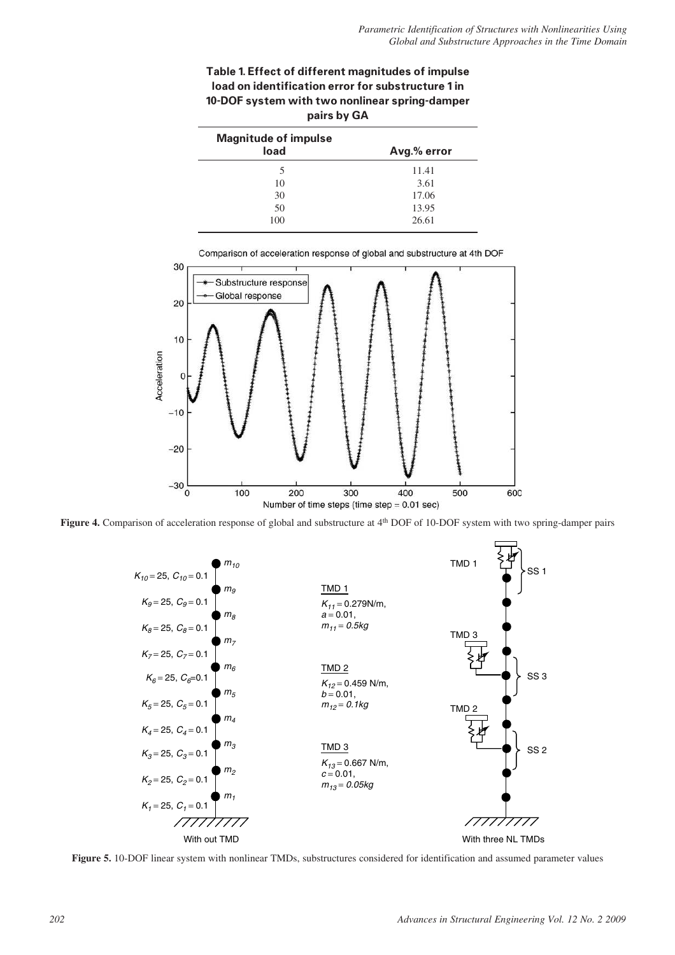| Table 1. Effect of different magnitudes of impulse |
|----------------------------------------------------|
| load on identification error for substructure 1 in |
| 10-DOF system with two nonlinear spring-damper     |
| pairs by GA                                        |

| <b>Magnitude of impulse</b> |             |
|-----------------------------|-------------|
| load                        | Avg.% error |
| 5                           | 11.41       |
| 10                          | 3.61        |
| 30                          | 17.06       |
| 50                          | 13.95       |
| 100                         | 26.61       |







**Figure 5.** 10-DOF linear system with nonlinear TMDs, substructures considered for identification and assumed parameter values

*202 Advances in Structural Engineering Vol. 12 No. 2 2009*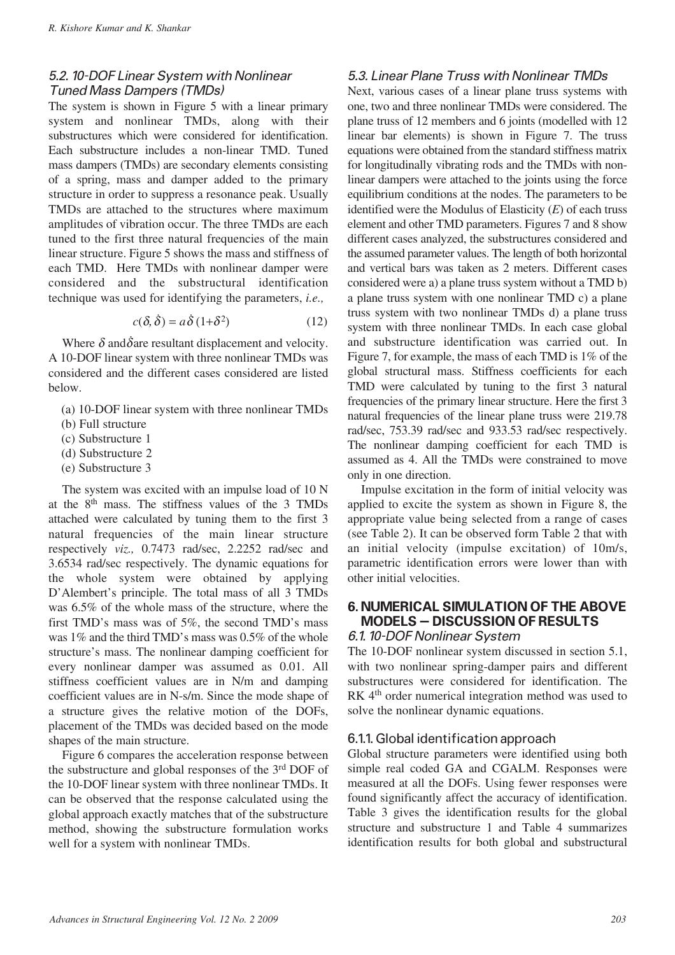## 5.2. 10-DOF Linear System with Nonlinear Tuned Mass Dampers (TMDs)

The system is shown in Figure 5 with a linear primary system and nonlinear TMDs, along with their substructures which were considered for identification. Each substructure includes a non-linear TMD. Tuned mass dampers (TMDs) are secondary elements consisting of a spring, mass and damper added to the primary structure in order to suppress a resonance peak. Usually TMDs are attached to the structures where maximum amplitudes of vibration occur. The three TMDs are each tuned to the first three natural frequencies of the main linear structure. Figure 5 shows the mass and stiffness of each TMD. Here TMDs with nonlinear damper were considered and the substructural identification technique was used for identifying the parameters, *i.e.,*

$$
c(\delta, \dot{\delta}) = a\dot{\delta} (1 + \delta^2)
$$
 (12)

Where  $\delta$  and  $\delta$  are resultant displacement and velocity. A 10-DOF linear system with three nonlinear TMDs was considered and the different cases considered are listed below.

- (a) 10-DOF linear system with three nonlinear TMDs
- (b) Full structure
- (c) Substructure 1
- (d) Substructure 2
- (e) Substructure 3

The system was excited with an impulse load of 10 N at the  $8<sup>th</sup>$  mass. The stiffness values of the 3 TMDs attached were calculated by tuning them to the first 3 natural frequencies of the main linear structure respectively *viz.,* 0.7473 rad/sec, 2.2252 rad/sec and 3.6534 rad/sec respectively. The dynamic equations for the whole system were obtained by applying D'Alembert's principle. The total mass of all 3 TMDs was 6.5% of the whole mass of the structure, where the first TMD's mass was of 5%, the second TMD's mass was 1% and the third TMD's mass was 0.5% of the whole structure's mass. The nonlinear damping coefficient for every nonlinear damper was assumed as 0.01. All stiffness coefficient values are in N/m and damping coefficient values are in N-s/m. Since the mode shape of a structure gives the relative motion of the DOFs, placement of the TMDs was decided based on the mode shapes of the main structure.

Figure 6 compares the acceleration response between the substructure and global responses of the 3rd DOF of the 10-DOF linear system with three nonlinear TMDs. It can be observed that the response calculated using the global approach exactly matches that of the substructure method, showing the substructure formulation works well for a system with nonlinear TMDs.

## 5.3. Linear Plane Truss with Nonlinear TMDs

Next, various cases of a linear plane truss systems with one, two and three nonlinear TMDs were considered. The plane truss of 12 members and 6 joints (modelled with 12 linear bar elements) is shown in Figure 7. The truss equations were obtained from the standard stiffness matrix for longitudinally vibrating rods and the TMDs with nonlinear dampers were attached to the joints using the force equilibrium conditions at the nodes. The parameters to be identified were the Modulus of Elasticity (*E*) of each truss element and other TMD parameters. Figures 7 and 8 show different cases analyzed, the substructures considered and the assumed parameter values. The length of both horizontal and vertical bars was taken as 2 meters. Different cases considered were a) a plane truss system without a TMD b) a plane truss system with one nonlinear TMD c) a plane truss system with two nonlinear TMDs d) a plane truss system with three nonlinear TMDs. In each case global and substructure identification was carried out. In Figure 7, for example, the mass of each TMD is 1% of the global structural mass. Stiffness coefficients for each TMD were calculated by tuning to the first 3 natural frequencies of the primary linear structure. Here the first 3 natural frequencies of the linear plane truss were 219.78 rad/sec, 753.39 rad/sec and 933.53 rad/sec respectively. The nonlinear damping coefficient for each TMD is assumed as 4. All the TMDs were constrained to move only in one direction.

Impulse excitation in the form of initial velocity was applied to excite the system as shown in Figure 8, the appropriate value being selected from a range of cases (see Table 2). It can be observed form Table 2 that with an initial velocity (impulse excitation) of 10m/s, parametric identification errors were lower than with other initial velocities.

## **6. NUMERICAL SIMULATION OF THE ABOVE MODELS – DISCUSSION OF RESULTS**

#### 6.1. 10-DOF Nonlinear System

The 10-DOF nonlinear system discussed in section 5.1, with two nonlinear spring-damper pairs and different substructures were considered for identification. The RK 4<sup>th</sup> order numerical integration method was used to solve the nonlinear dynamic equations.

## 6.1.1. Global identification approach

Global structure parameters were identified using both simple real coded GA and CGALM. Responses were measured at all the DOFs. Using fewer responses were found significantly affect the accuracy of identification. Table 3 gives the identification results for the global structure and substructure 1 and Table 4 summarizes identification results for both global and substructural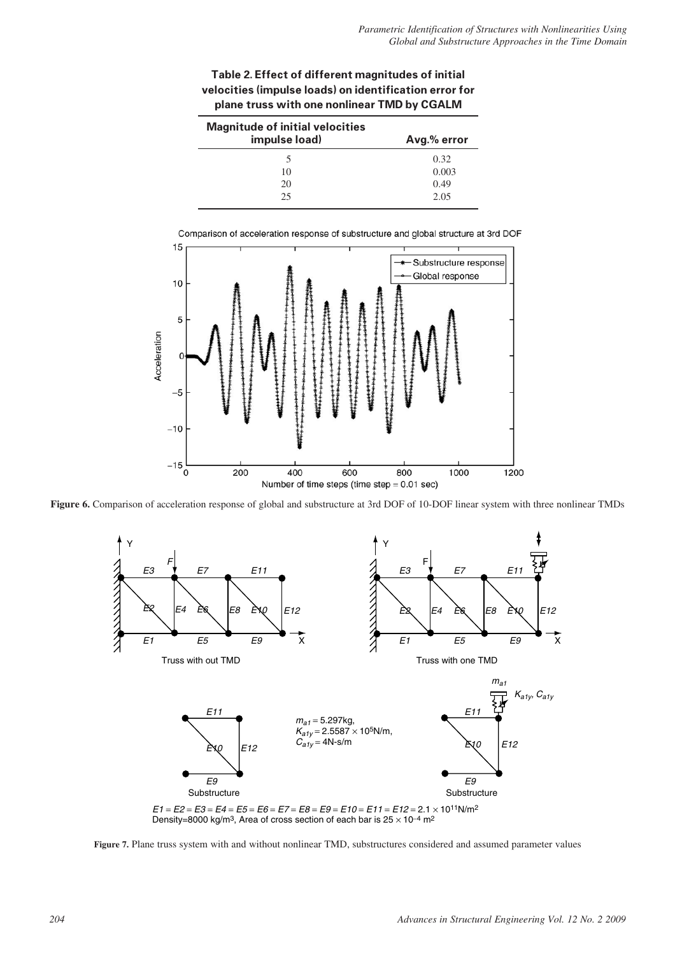## **Table 2. Effect of different magnitudes of initial velocities (impulse loads) on identification error for plane truss with one nonlinear TMD by CGALM**

| <b>Magnitude of initial velocities</b> |             |  |  |  |  |  |
|----------------------------------------|-------------|--|--|--|--|--|
| impulse load)                          | Avg.% error |  |  |  |  |  |
|                                        | 0.32        |  |  |  |  |  |
| 10                                     | 0.003       |  |  |  |  |  |
| 20                                     | 0.49        |  |  |  |  |  |
| 25                                     | 2.05        |  |  |  |  |  |



Comparison of acceleration response of substructure and global structure at 3rd DOF

**Figure 6.** Comparison of acceleration response of global and substructure at 3rd DOF of 10-DOF linear system with three nonlinear TMDs



**Figure 7.** Plane truss system with and without nonlinear TMD, substructures considered and assumed parameter values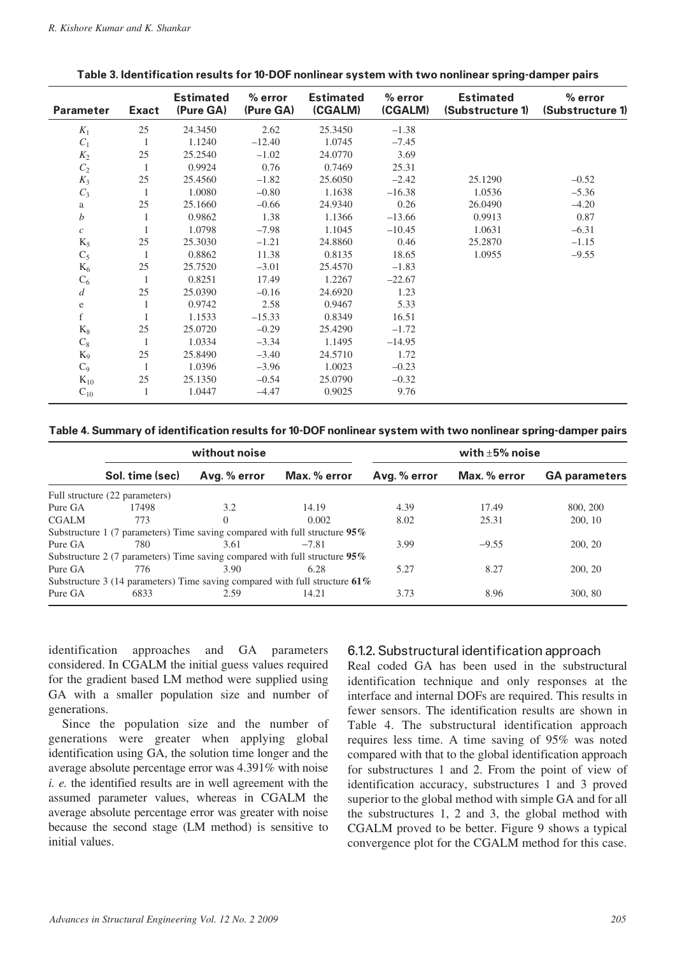| <b>Parameter</b> | <b>Exact</b> | <b>Estimated</b><br>(Pure GA) | $%$ error<br>(Pure GA) | <b>Estimated</b><br>(CGALM) | $%$ error<br>(CGALM) | <b>Estimated</b><br>(Substructure 1) | $%$ error<br>(Substructure 1) |
|------------------|--------------|-------------------------------|------------------------|-----------------------------|----------------------|--------------------------------------|-------------------------------|
| $K_1$            | 25           | 24.3450                       | 2.62                   | 25.3450                     | $-1.38$              |                                      |                               |
| $C_1$            | 1            | 1.1240                        | $-12.40$               | 1.0745                      | $-7.45$              |                                      |                               |
| $K_2$            | 25           | 25.2540                       | $-1.02$                | 24.0770                     | 3.69                 |                                      |                               |
| $C_2$            | 1            | 0.9924                        | 0.76                   | 0.7469                      | 25.31                |                                      |                               |
| $K_3$            | 25           | 25.4560                       | $-1.82$                | 25.6050                     | $-2.42$              | 25.1290                              | $-0.52$                       |
| $C_3$            | 1            | 1.0080                        | $-0.80$                | 1.1638                      | $-16.38$             | 1.0536                               | $-5.36$                       |
| a                | 25           | 25.1660                       | $-0.66$                | 24.9340                     | 0.26                 | 26.0490                              | $-4.20$                       |
| $\boldsymbol{b}$ |              | 0.9862                        | 1.38                   | 1.1366                      | $-13.66$             | 0.9913                               | 0.87                          |
| $\boldsymbol{c}$ |              | 1.0798                        | $-7.98$                | 1.1045                      | $-10.45$             | 1.0631                               | $-6.31$                       |
| $K_5$            | 25           | 25.3030                       | $-1.21$                | 24.8860                     | 0.46                 | 25.2870                              | $-1.15$                       |
| $C_5$            | 1            | 0.8862                        | 11.38                  | 0.8135                      | 18.65                | 1.0955                               | $-9.55$                       |
| $K_6$            | 25           | 25.7520                       | $-3.01$                | 25.4570                     | $-1.83$              |                                      |                               |
| $C_6$            | 1            | 0.8251                        | 17.49                  | 1.2267                      | $-22.67$             |                                      |                               |
| $\boldsymbol{d}$ | 25           | 25.0390                       | $-0.16$                | 24.6920                     | 1.23                 |                                      |                               |
| $\mathbf e$      | 1            | 0.9742                        | 2.58                   | 0.9467                      | 5.33                 |                                      |                               |
| $\mathbf f$      |              | 1.1533                        | $-15.33$               | 0.8349                      | 16.51                |                                      |                               |
| $K_8$            | 25           | 25.0720                       | $-0.29$                | 25.4290                     | $-1.72$              |                                      |                               |
| $C_8$            | 1            | 1.0334                        | $-3.34$                | 1.1495                      | $-14.95$             |                                      |                               |
| $K_9$            | 25           | 25.8490                       | $-3.40$                | 24.5710                     | 1.72                 |                                      |                               |
| $C_9$            | 1            | 1.0396                        | $-3.96$                | 1.0023                      | $-0.23$              |                                      |                               |
| $K_{10}$         | 25           | 25.1350                       | $-0.54$                | 25.0790                     | $-0.32$              |                                      |                               |
| $C_{10}$         | 1            | 1.0447                        | $-4.47$                | 0.9025                      | 9.76                 |                                      |                               |

#### **Table 3. Identification results for 10-DOF nonlinear system with two nonlinear spring-damper pairs**

#### **Table 4. Summary of identification results for 10-DOF nonlinear system with two nonlinear spring-damper pairs**

|              |                                                                                | without noise |              | with $\pm$ 5% noise |              |                      |  |
|--------------|--------------------------------------------------------------------------------|---------------|--------------|---------------------|--------------|----------------------|--|
|              | Sol. time (sec)                                                                | Avg. % error  | Max. % error | Avg. % error        | Max. % error | <b>GA parameters</b> |  |
|              | Full structure (22 parameters)                                                 |               |              |                     |              |                      |  |
| Pure GA      | 17498                                                                          | 3.2           | 14.19        | 4.39                | 17.49        | 800, 200             |  |
| <b>CGALM</b> | 773                                                                            | $\Omega$      | 0.002        | 8.02                | 25.31        | 200, 10              |  |
|              | Substructure 1 (7 parameters) Time saving compared with full structure 95%     |               |              |                     |              |                      |  |
| Pure GA      | 780                                                                            | 3.61          | $-7.81$      | 3.99                | $-9.55$      | 200, 20              |  |
|              | Substructure 2 (7 parameters) Time saving compared with full structure 95%     |               |              |                     |              |                      |  |
| Pure GA      | 776                                                                            | 3.90          | 6.28         | 5.27                | 8.27         | 200, 20              |  |
|              | Substructure 3 (14 parameters) Time saving compared with full structure $61\%$ |               |              |                     |              |                      |  |
| Pure GA      | 6833                                                                           | 2.59          | 14.21        | 3.73                | 8.96         | 300, 80              |  |

identification approaches and GA parameters considered. In CGALM the initial guess values required for the gradient based LM method were supplied using GA with a smaller population size and number of generations.

Since the population size and the number of generations were greater when applying global identification using GA, the solution time longer and the average absolute percentage error was 4.391% with noise *i. e.* the identified results are in well agreement with the assumed parameter values, whereas in CGALM the average absolute percentage error was greater with noise because the second stage (LM method) is sensitive to initial values.

## 6.1.2. Substructural identification approach

Real coded GA has been used in the substructural identification technique and only responses at the interface and internal DOFs are required. This results in fewer sensors. The identification results are shown in Table 4. The substructural identification approach requires less time. A time saving of 95% was noted compared with that to the global identification approach for substructures 1 and 2. From the point of view of identification accuracy, substructures 1 and 3 proved superior to the global method with simple GA and for all the substructures 1, 2 and 3, the global method with CGALM proved to be better. Figure 9 shows a typical convergence plot for the CGALM method for this case.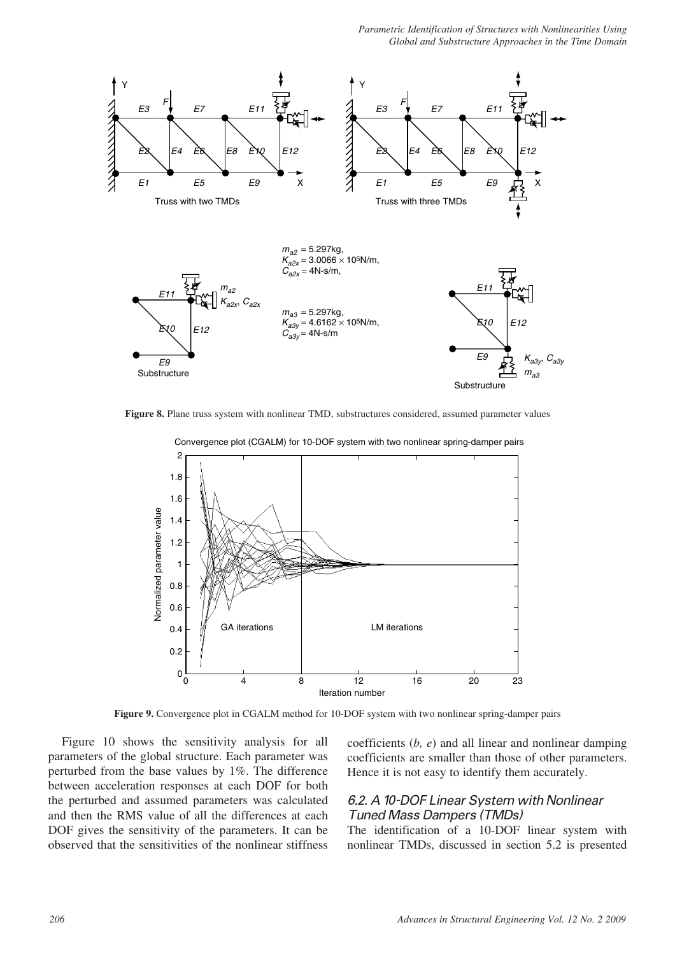*Parametric Identification of Structures with Nonlinearities Using Global and Substructure Approaches in the Time Domain* 



**Figure 8.** Plane truss system with nonlinear TMD, substructures considered, assumed parameter values



Convergence plot (CGALM) for 10-DOF system with two nonlinear spring-damper pairs

**Figure 9.** Convergence plot in CGALM method for 10-DOF system with two nonlinear spring-damper pairs

Figure 10 shows the sensitivity analysis for all parameters of the global structure. Each parameter was perturbed from the base values by 1%. The difference between acceleration responses at each DOF for both the perturbed and assumed parameters was calculated and then the RMS value of all the differences at each DOF gives the sensitivity of the parameters. It can be observed that the sensitivities of the nonlinear stiffness coefficients (*b, e*) and all linear and nonlinear damping coefficients are smaller than those of other parameters. Hence it is not easy to identify them accurately.

## 6.2. A 10-DOF Linear System with Nonlinear Tuned Mass Dampers (TMDs)

The identification of a 10-DOF linear system with nonlinear TMDs, discussed in section 5.2 is presented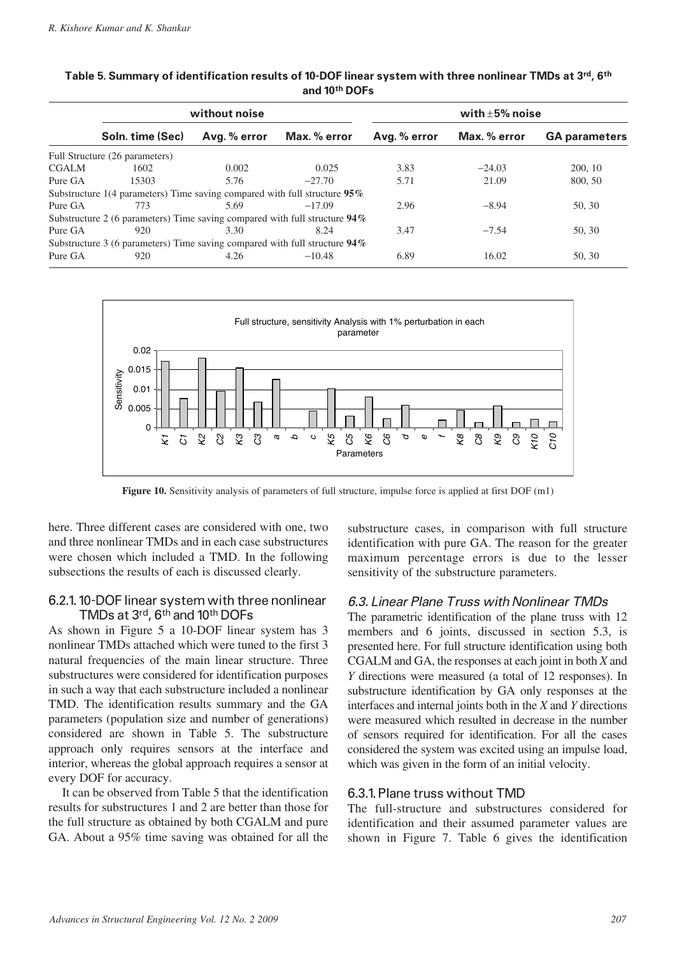|              |                                                                               | without noise |              |              | with $\pm 5\%$ noise |                      |  |  |  |
|--------------|-------------------------------------------------------------------------------|---------------|--------------|--------------|----------------------|----------------------|--|--|--|
|              | Soln. time (Sec)                                                              | Avg. % error  | Max. % error | Avg. % error | Max. % error         | <b>GA parameters</b> |  |  |  |
|              | Full Structure (26 parameters)                                                |               |              |              |                      |                      |  |  |  |
| <b>CGALM</b> | 1602                                                                          | 0.002         | 0.025        | 3.83         | $-24.03$             | 200, 10              |  |  |  |
| Pure GA      | 15303                                                                         | 5.76          | $-27.70$     | 5.71         | 21.09                | 800, 50              |  |  |  |
|              | Substructure 1(4 parameters) Time saving compared with full structure $95\%$  |               |              |              |                      |                      |  |  |  |
| Pure GA      | 773                                                                           | 5.69          | $-17.09$     | 2.96         | $-8.94$              | 50, 30               |  |  |  |
|              | Substructure 2 (6 parameters) Time saving compared with full structure 94%    |               |              |              |                      |                      |  |  |  |
| Pure GA      | 920                                                                           | 3.30          | 8.24         | 3.47         | $-7.54$              | 50, 30               |  |  |  |
|              | Substructure 3 (6 parameters) Time saving compared with full structure $94\%$ |               |              |              |                      |                      |  |  |  |
| Pure GA      | 920                                                                           | 4.26          | $-10.48$     | 6.89         | 16.02                | 50, 30               |  |  |  |

**Table 5. Summary of identification results of 10-DOF linear system with three nonlinear TMDs at 3rd, 6th and 10th DOFs**



**Figure 10.** Sensitivity analysis of parameters of full structure, impulse force is applied at first DOF (m1)

here. Three different cases are considered with one, two and three nonlinear TMDs and in each case substructures were chosen which included a TMD. In the following subsections the results of each is discussed clearly.

#### 6.2.1. 10-DOF linear system with three nonlinear TMDs at 3rd, 6th and 10th DOFs

As shown in Figure 5 a 10-DOF linear system has 3 nonlinear TMDs attached which were tuned to the first 3 natural frequencies of the main linear structure. Three substructures were considered for identification purposes in such a way that each substructure included a nonlinear TMD. The identification results summary and the GA parameters (population size and number of generations) considered are shown in Table 5. The substructure approach only requires sensors at the interface and interior, whereas the global approach requires a sensor at every DOF for accuracy.

It can be observed from Table 5 that the identification results for substructures 1 and 2 are better than those for the full structure as obtained by both CGALM and pure GA. About a 95% time saving was obtained for all the

substructure cases, in comparison with full structure identification with pure GA. The reason for the greater maximum percentage errors is due to the lesser sensitivity of the substructure parameters.

## 6.3. Linear Plane Truss with Nonlinear TMDs

The parametric identification of the plane truss with 12 members and 6 joints, discussed in section 5.3, is presented here. For full structure identification using both CGALM and GA, the responses at each joint in both *X* and *Y* directions were measured (a total of 12 responses). In substructure identification by GA only responses at the interfaces and internal joints both in the *X* and *Y* directions were measured which resulted in decrease in the number of sensors required for identification. For all the cases considered the system was excited using an impulse load, which was given in the form of an initial velocity.

#### 6.3.1. Plane truss without TMD

The full-structure and substructures considered for identification and their assumed parameter values are shown in Figure 7. Table 6 gives the identification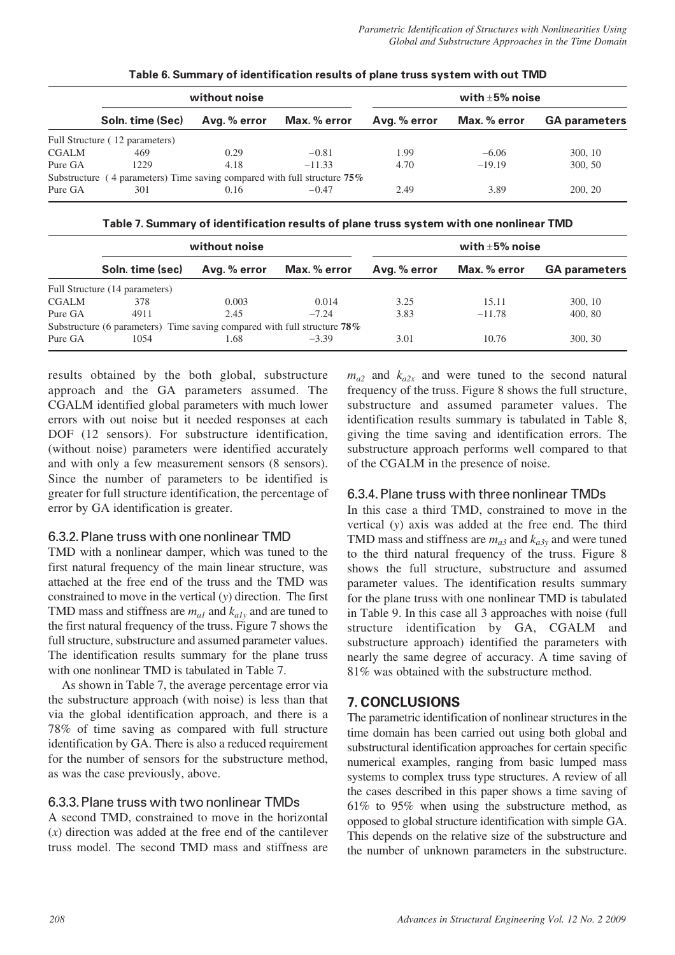|              |                                                                             | without noise |              | with $\pm 5\%$ noise |              |                      |  |
|--------------|-----------------------------------------------------------------------------|---------------|--------------|----------------------|--------------|----------------------|--|
|              | Soln. time (Sec)                                                            | Avg. % error  | Max. % error | Avg. % error         | Max. % error | <b>GA parameters</b> |  |
|              | Full Structure (12 parameters)                                              |               |              |                      |              |                      |  |
| <b>CGALM</b> | 469                                                                         | 0.29          | $-0.81$      | 1.99                 | $-6.06$      | 300, 10              |  |
| Pure GA      | 1229                                                                        | 4.18          | $-11.33$     | 4.70                 | $-19.19$     | 300, 50              |  |
|              | Substructure (4 parameters) Time saving compared with full structure $75\%$ |               |              |                      |              |                      |  |
| Pure GA      | 301                                                                         | 0.16          | $-0.47$      | 2.49                 | 3.89         | 200, 20              |  |

**Table 6. Summary of identification results of plane truss system with out TMD**

**Table 7. Summary of identification results of plane truss system with one nonlinear TMD**

|              |                                                                          | without noise |              | with $\pm 5\%$ noise |              |                      |  |
|--------------|--------------------------------------------------------------------------|---------------|--------------|----------------------|--------------|----------------------|--|
|              | Soln. time (sec)                                                         | Avg. % error  | Max. % error | Avg. % error         | Max. % error | <b>GA parameters</b> |  |
|              | Full Structure (14 parameters)                                           |               |              |                      |              |                      |  |
| <b>CGALM</b> | 378                                                                      | 0.003         | 0.014        | 3.25                 | 15.11        | 300, 10              |  |
| Pure GA      | 4911                                                                     | 2.45          | $-7.24$      | 3.83                 | $-11.78$     | 400, 80              |  |
|              | Substructure (6 parameters) Time saving compared with full structure 78% |               |              |                      |              |                      |  |
| Pure GA      | 1054                                                                     | 1.68          | $-3.39$      | 3.01                 | 10.76        | 300, 30              |  |

results obtained by the both global, substructure approach and the GA parameters assumed. The CGALM identified global parameters with much lower errors with out noise but it needed responses at each DOF (12 sensors). For substructure identification, (without noise) parameters were identified accurately and with only a few measurement sensors (8 sensors). Since the number of parameters to be identified is greater for full structure identification, the percentage of error by GA identification is greater.

# 6.3.2. Plane truss with one nonlinear TMD

TMD with a nonlinear damper, which was tuned to the first natural frequency of the main linear structure, was attached at the free end of the truss and the TMD was constrained to move in the vertical (*y*) direction. The first TMD mass and stiffness are *ma1* and *ka1y* and are tuned to the first natural frequency of the truss. Figure 7 shows the full structure, substructure and assumed parameter values. The identification results summary for the plane truss with one nonlinear TMD is tabulated in Table 7.

As shown in Table 7, the average percentage error via the substructure approach (with noise) is less than that via the global identification approach, and there is a 78% of time saving as compared with full structure identification by GA. There is also a reduced requirement for the number of sensors for the substructure method, as was the case previously, above.

# 6.3.3. Plane truss with two nonlinear TMDs

A second TMD, constrained to move in the horizontal (*x*) direction was added at the free end of the cantilever truss model. The second TMD mass and stiffness are  $m_{a2}$  and  $k_{a2x}$  and were tuned to the second natural frequency of the truss. Figure 8 shows the full structure, substructure and assumed parameter values. The identification results summary is tabulated in Table 8, giving the time saving and identification errors. The substructure approach performs well compared to that of the CGALM in the presence of noise.

# 6.3.4. Plane truss with three nonlinear TMDs

In this case a third TMD, constrained to move in the vertical (*y*) axis was added at the free end. The third TMD mass and stiffness are  $m_{a3}$  and  $k_{a3y}$  and were tuned to the third natural frequency of the truss. Figure 8 shows the full structure, substructure and assumed parameter values. The identification results summary for the plane truss with one nonlinear TMD is tabulated in Table 9. In this case all 3 approaches with noise (full structure identification by GA, CGALM and substructure approach) identified the parameters with nearly the same degree of accuracy. A time saving of 81% was obtained with the substructure method.

# **7. CONCLUSIONS**

The parametric identification of nonlinear structures in the time domain has been carried out using both global and substructural identification approaches for certain specific numerical examples, ranging from basic lumped mass systems to complex truss type structures. A review of all the cases described in this paper shows a time saving of 61% to 95% when using the substructure method, as opposed to global structure identification with simple GA. This depends on the relative size of the substructure and the number of unknown parameters in the substructure.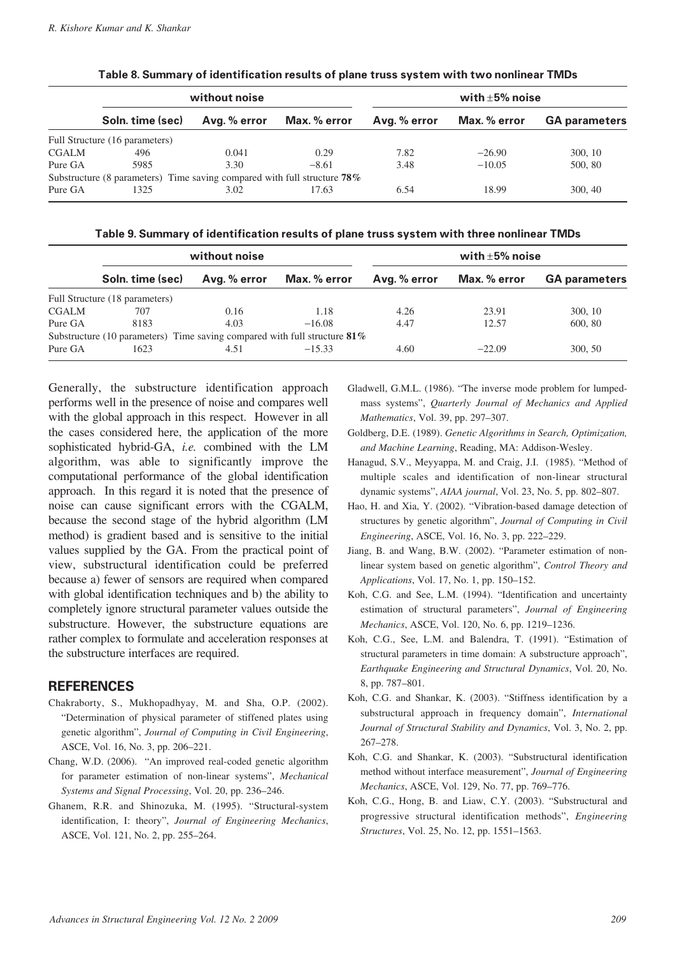|              |                                                                             | without noise |              | with $\pm 5\%$ noise |              |                      |  |
|--------------|-----------------------------------------------------------------------------|---------------|--------------|----------------------|--------------|----------------------|--|
|              | Soln. time (sec)                                                            | Avg. % error  | Max. % error | Avg. % error         | Max. % error | <b>GA parameters</b> |  |
|              | Full Structure (16 parameters)                                              |               |              |                      |              |                      |  |
| <b>CGALM</b> | 496                                                                         | 0.041         | 0.29         | 7.82                 | $-26.90$     | 300, 10              |  |
| Pure GA      | 5985                                                                        | 3.30          | $-8.61$      | 3.48                 | $-10.05$     | 500, 80              |  |
|              | Substructure (8 parameters) Time saving compared with full structure $78\%$ |               |              |                      |              |                      |  |
| Pure GA      | 1325                                                                        | 3.02          | 17.63        | 6.54                 | 18.99        | 300, 40              |  |

**Table 8. Summary of identification results of plane truss system with two nonlinear TMDs**

**Table 9. Summary of identification results of plane truss system with three nonlinear TMDs**

|              |                                                                              | without noise |              | with $\pm 5\%$ noise |              |                      |  |
|--------------|------------------------------------------------------------------------------|---------------|--------------|----------------------|--------------|----------------------|--|
|              | Soln. time (sec)                                                             | Avg. % error  | Max. % error | Avg. % error         | Max. % error | <b>GA parameters</b> |  |
|              | Full Structure (18 parameters)                                               |               |              |                      |              |                      |  |
| <b>CGALM</b> | 707                                                                          | 0.16          | 1.18         | 4.26                 | 23.91        | 300, 10              |  |
| Pure GA      | 8183                                                                         | 4.03          | $-16.08$     | 4.47                 | 12.57        | 600, 80              |  |
|              | Substructure (10 parameters) Time saving compared with full structure $81\%$ |               |              |                      |              |                      |  |
| Pure GA      | 1623                                                                         | 4.51          | $-15.33$     | 4.60                 | $-22.09$     | 300, 50              |  |

Generally, the substructure identification approach performs well in the presence of noise and compares well with the global approach in this respect. However in all the cases considered here, the application of the more sophisticated hybrid-GA, *i.e.* combined with the LM algorithm, was able to significantly improve the computational performance of the global identification approach. In this regard it is noted that the presence of noise can cause significant errors with the CGALM, because the second stage of the hybrid algorithm (LM method) is gradient based and is sensitive to the initial values supplied by the GA. From the practical point of view, substructural identification could be preferred because a) fewer of sensors are required when compared with global identification techniques and b) the ability to completely ignore structural parameter values outside the substructure. However, the substructure equations are rather complex to formulate and acceleration responses at the substructure interfaces are required.

## **REFERENCES**

- Chakraborty, S., Mukhopadhyay, M. and Sha, O.P. (2002). "Determination of physical parameter of stiffened plates using genetic algorithm", *Journal of Computing in Civil Engineering*, ASCE, Vol. 16, No. 3, pp. 206–221.
- Chang, W.D. (2006). "An improved real-coded genetic algorithm for parameter estimation of non-linear systems", *Mechanical Systems and Signal Processing*, Vol. 20, pp. 236–246.
- Ghanem, R.R. and Shinozuka, M. (1995). "Structural-system identification, I: theory", *Journal of Engineering Mechanics*, ASCE, Vol. 121, No. 2, pp. 255–264.
- Gladwell, G.M.L. (1986). "The inverse mode problem for lumpedmass systems", *Quarterly Journal of Mechanics and Applied Mathematics*, Vol. 39, pp. 297–307.
- Goldberg, D.E. (1989). *Genetic Algorithms in Search, Optimization, and Machine Learning*, Reading, MA: Addison-Wesley.
- Hanagud, S.V., Meyyappa, M. and Craig, J.I. (1985). "Method of multiple scales and identification of non-linear structural dynamic systems", *AIAA journal*, Vol. 23, No. 5, pp. 802–807.
- Hao, H. and Xia, Y. (2002). "Vibration-based damage detection of structures by genetic algorithm", *Journal of Computing in Civil Engineering*, ASCE, Vol. 16, No. 3, pp. 222–229.
- Jiang, B. and Wang, B.W. (2002). "Parameter estimation of nonlinear system based on genetic algorithm", *Control Theory and Applications*, Vol. 17, No. 1, pp. 150–152.
- Koh, C.G. and See, L.M. (1994). "Identification and uncertainty estimation of structural parameters", *Journal of Engineering Mechanics*, ASCE, Vol. 120, No. 6, pp. 1219–1236.
- Koh, C.G., See, L.M. and Balendra, T. (1991). "Estimation of structural parameters in time domain: A substructure approach", *Earthquake Engineering and Structural Dynamics*, Vol. 20, No. 8, pp. 787–801.
- Koh, C.G. and Shankar, K. (2003). "Stiffness identification by a substructural approach in frequency domain", *International Journal of Structural Stability and Dynamics*, Vol. 3, No. 2, pp. 267–278.
- Koh, C.G. and Shankar, K. (2003). "Substructural identification method without interface measurement", *Journal of Engineering Mechanics*, ASCE, Vol. 129, No. 77, pp. 769–776.
- Koh, C.G., Hong, B. and Liaw, C.Y. (2003). "Substructural and progressive structural identification methods", *Engineering Structures*, Vol. 25, No. 12, pp. 1551–1563.